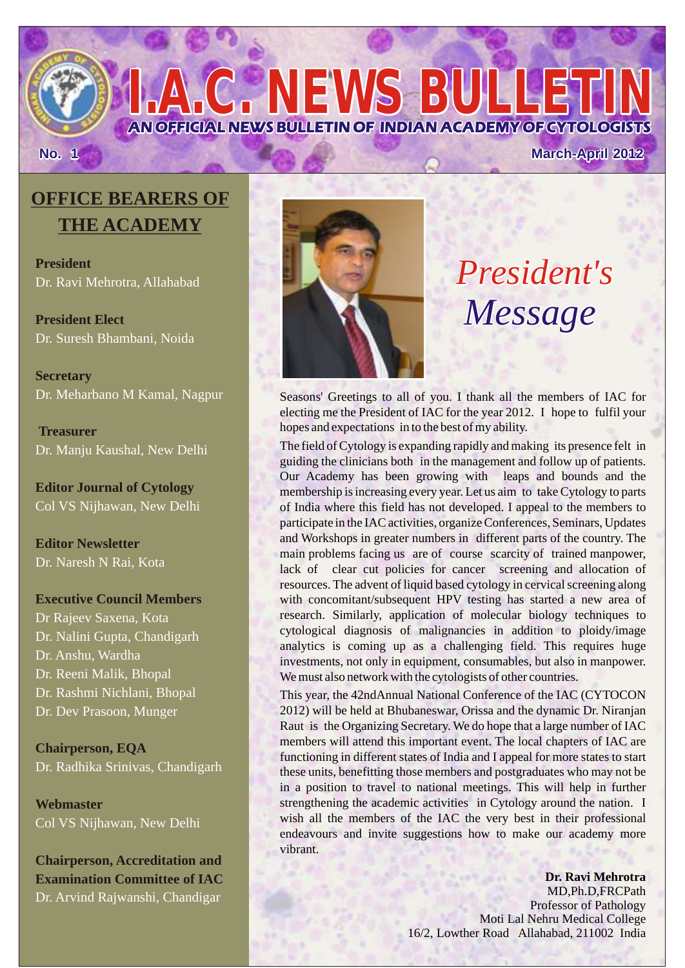## **No. 1 March-April 2012**

## **OFFICE BEARERS OF THE ACADEMY**

**President**  Dr. Ravi Mehrotra, Allahabad

**President Elect**  Dr. Suresh Bhambani, Noida

**Secretary**  Dr. Meharbano M Kamal, Nagpur

 **Treasurer**  Dr. Manju Kaushal, New Delhi

**Editor Journal of Cytology**  Col VS Nijhawan, New Delhi

**Editor Newsletter** Dr. Naresh N Rai, Kota

#### **Executive Council Members**

Dr Rajeev Saxena, Kota Dr. Nalini Gupta, Chandigarh Dr. Anshu, Wardha Dr. Reeni Malik, Bhopal Dr. Rashmi Nichlani, Bhopal Dr. Dev Prasoon, Munger

**Chairperson, EQA** Dr. Radhika Srinivas, Chandigarh

**Webmaster** Col VS Nijhawan, New Delhi

**Chairperson, Accreditation and Examination Committee of IAC** Dr. Arvind Rajwanshi, Chandigar



**AN OFFICIAL NEWS BULLETIN OF INDIAN ACADEMY OF CYTOLOGISTS**

*I.C. NEWS BULLET* 

# *President's Message*

Seasons' Greetings to all of you. I thank all the members of IAC for electing me the President of IAC for the year 2012. I hope to fulfil your hopes and expectations in to the best of my ability.

The field of Cytology is expanding rapidly and making its presence felt in guiding the clinicians both in the management and follow up of patients. Our Academy has been growing with leaps and bounds and the membership is increasing every year. Let us aim to take Cytology to parts of India where this field has not developed. I appeal to the members to participate in the IAC activities, organize Conferences, Seminars, Updates and Workshops in greater numbers in different parts of the country. The main problems facing us are of course scarcity of trained manpower, lack of clear cut policies for cancer screening and allocation of resources. The advent of liquid based cytology in cervical screening along with concomitant/subsequent HPV testing has started a new area of research. Similarly, application of molecular biology techniques to cytological diagnosis of malignancies in addition to ploidy/image analytics is coming up as a challenging field. This requires huge investments, not only in equipment, consumables, but also in manpower. We must also network with the cytologists of other countries.

This year, the 42ndAnnual National Conference of the IAC (CYTOCON 2012) will be held at Bhubaneswar, Orissa and the dynamic Dr. Niranjan Raut is the Organizing Secretary. We do hope that a large number of IAC members will attend this important event. The local chapters of IAC are functioning in different states of India and I appeal for more states to start these units, benefitting those members and postgraduates who may not be in a position to travel to national meetings. This will help in further strengthening the academic activities in Cytology around the nation. I wish all the members of the IAC the very best in their professional endeavours and invite suggestions how to make our academy more vibrant.

> **Dr. Ravi Mehrotra** MD,Ph.D,FRCPath Professor of Pathology Moti Lal Nehru Medical College 16/2, Lowther Road Allahabad, 211002 India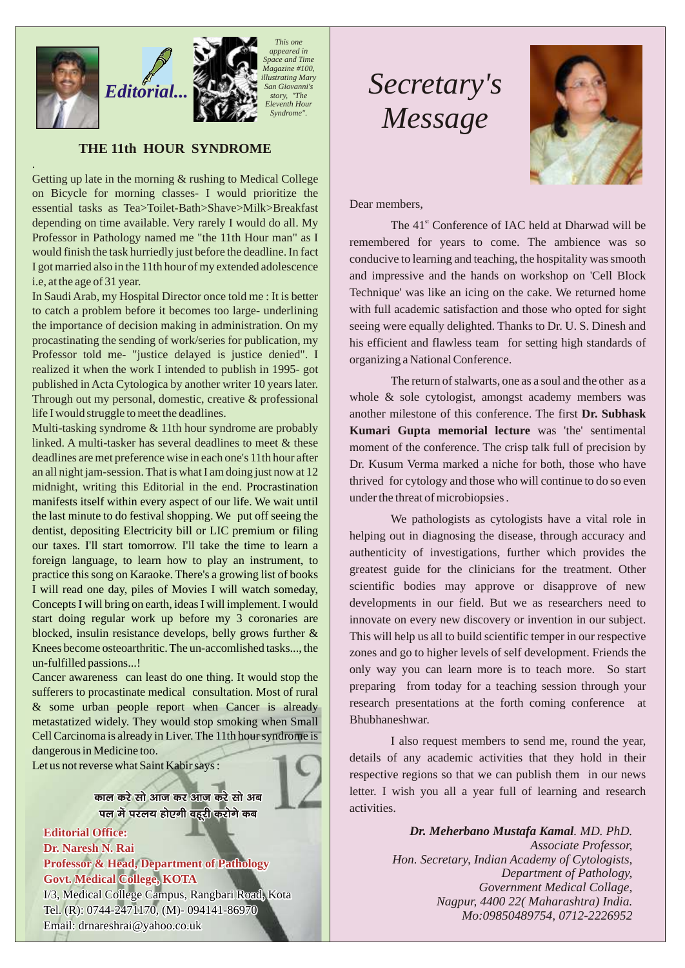

.

*This one appeared in Space and Time Magazine #100, illustrating Mary San Giovanni's story, "The Eleventh Hour Syndrome".*

## **THE 11th HOUR SYNDROME**

Getting up late in the morning & rushing to Medical College on Bicycle for morning classes- I would prioritize the essential tasks as Tea>Toilet-Bath>Shave>Milk>Breakfast depending on time available. Very rarely I would do all. My Professor in Pathology named me "the 11th Hour man" as I would finish the task hurriedly just before the deadline. In fact I got married also in the 11th hour of my extended adolescence i.e, at the age of 31 year.

In Saudi Arab, my Hospital Director once told me : It is better to catch a problem before it becomes too large- underlining the importance of decision making in administration. On my procastinating the sending of work/series for publication, my Professor told me- "justice delayed is justice denied". I realized it when the work I intended to publish in 1995- got published in Acta Cytologica by another writer 10 years later. Through out my personal, domestic, creative & professional life I would struggle to meet the deadlines.

Multi-tasking syndrome & 11th hour syndrome are probably linked. A multi-tasker has several deadlines to meet & these deadlines are met preference wise in each one's 11th hour after an all night jam-session. That is what I am doing just now at 12 midnight, writing this Editorial in the end. Procrastination manifests itself within every aspect of our life. We wait until the last minute to do festival shopping. We put off seeing the dentist, depositing Electricity bill or LIC premium or filing our taxes. I'll start tomorrow. I'll take the time to learn a foreign language, to learn how to play an instrument, to practice this song on Karaoke. There's a growing list of books I will read one day, piles of Movies I will watch someday, Concepts I will bring on earth, ideas I will implement. I would start doing regular work up before my 3 coronaries are blocked, insulin resistance develops, belly grows further & Knees become osteoarthritic. The un-accomlished tasks..., the un-fulfilled passions...!

Cancer awareness can least do one thing. It would stop the sufferers to procastinate medical consultation. Most of rural & some urban people report when Cancer is already metastatized widely. They would stop smoking when Small Cell Carcinoma is already in Liver. The 11th hour syndrome is dangerous in Medicine too.

Let us not reverse what Saint Kabir says :

काल करे सो आज कर आज करे सो अब पल में परलय होएगी वहूरी करोगे कब

**Editorial Office: Dr. Naresh N. Rai Professor & Head, Department of Pathology Govt. Medical College, KOTA** I/3, Medical College Campus, Rangbari Road, Kota Tel. (R): 0744-2471170, (M)- 094141-86970 Email: drnareshrai@yahoo.co.uk

## *Secretary's Message*



Dear members,

The 41<sup>st</sup> Conference of IAC held at Dharwad will be remembered for years to come. The ambience was so conducive to learning and teaching, the hospitality was smooth and impressive and the hands on workshop on 'Cell Block Technique' was like an icing on the cake. We returned home with full academic satisfaction and those who opted for sight seeing were equally delighted. Thanks to Dr. U. S. Dinesh and his efficient and flawless team for setting high standards of organizing a National Conference.

The return of stalwarts, one as a soul and the other as a whole & sole cytologist, amongst academy members was another milestone of this conference. The first **Dr. Subhask Kumari Gupta memorial lecture** was 'the' sentimental moment of the conference. The crisp talk full of precision by Dr. Kusum Verma marked a niche for both, those who have thrived for cytology and those who will continue to do so even under the threat of microbiopsies .

We pathologists as cytologists have a vital role in helping out in diagnosing the disease, through accuracy and authenticity of investigations, further which provides the greatest guide for the clinicians for the treatment. Other scientific bodies may approve or disapprove of new developments in our field. But we as researchers need to innovate on every new discovery or invention in our subject. This will help us all to build scientific temper in our respective zones and go to higher levels of self development. Friends the only way you can learn more is to teach more. So start preparing from today for a teaching session through your research presentations at the forth coming conference at Bhubhaneshwar.

I also request members to send me, round the year, details of any academic activities that they hold in their respective regions so that we can publish them in our news letter. I wish you all a year full of learning and research activities.

> *Dr. Meherbano Mustafa Kamal. MD. PhD. Associate Professor, Hon. Secretary, Indian Academy of Cytologists, Department of Pathology, Government Medical Collage, Nagpur, 4400 22( Maharashtra) India. Mo:09850489754, 0712-2226952*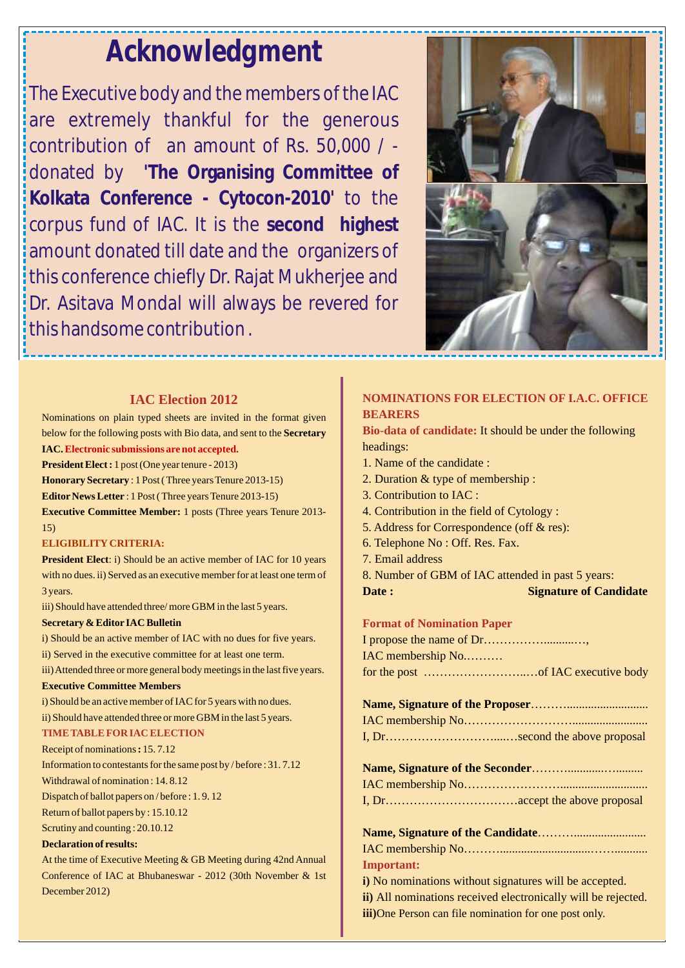## *Acknowledgment*

The Executive body and the members of the IAC are extremely thankful for the generous contribution of an amount of Rs. 50,000 / donated by **'The Organising Committee of Kolkata Conference - Cytocon-2010'** to the corpus fund of IAC. It is the **second highest**  amount donated till date and the organizers of this conference chiefly Dr. Rajat Mukherjee and Dr. Asitava Mondal will always be revered for this handsome contribution .



## **IAC Election 2012**

#### Nominations on plain typed sheets are invited in the format given below for the following posts with Bio data, and sent to the **Secretary IAC. Electronic submissions are not accepted.**

**President Elect :** 1 post (One year tenure - 2013)

**Honorary Secretary** : 1 Post ( Three years Tenure 2013-15)

**Editor News Letter** : 1 Post ( Three years Tenure 2013-15)

**Executive Committee Member:** 1 posts (Three years Tenure 2013- 15)

#### **ELIGIBILITY CRITERIA:**

**President Elect**: i) Should be an active member of IAC for 10 years with no dues. ii) Served as an executive member for at least one term of 3 years.

iii) Should have attended three/more GBM in the last 5 years.

#### **Secretary & Editor IAC Bulletin**

i) Should be an active member of IAC with no dues for five years.

ii) Served in the executive committee for at least one term.

iii) Attended three or more general body meetings in the last five years.

#### **Executive Committee Members**

i) Should be an active member of IAC for 5 years with no dues. ii) Should have attended three or more GBM in the last 5 years.

#### **TIME TABLE FOR IAC ELECTION**

Receipt of nominations **:** 15. 7.12

Information to contestants for the same post by / before : 31. 7.12 Withdrawal of nomination : 14. 8.12

Dispatch of ballot papers on / before : 1. 9. 12

Return of ballot papers by : 15.10.12

Scrutiny and counting : 20.10.12

#### **Declaration of results:**

At the time of Executive Meeting & GB Meeting during 42nd Annual Conference of IAC at Bhubaneswar - 2012 (30th November & 1st December 2012)

### **NOMINATIONS FOR ELECTION OF I.A.C. OFFICE BEARERS**

**Bio-data of candidate:**  It should be under the following headings:

- 1. Name of the candidate :
- 2. Duration & type of membership :
- 3. Contribution to IAC :
- 4. Contribution in the field of Cytology :
- 5. Address for Correspondence (off & res):
- 6. Telephone No : Off. Res. Fax.
- 7. Email address
- 8. Number of GBM of IAC attended in past 5 years:

**Date :** Signature of Candidate

#### **Format of Nomination Paper**

I propose the name of Dr……………………… IAC membership No.……… for the post ……………………..…of IAC executive body

#### **Name, Signature of the Proposer**………........................... IAC membership No………………………......................... I, Dr………………………....…second the above proposal

## **Name, Signature of the Candidate**………........................

**Important:**  IAC membership No………..............................……...........

i) No nominations without signatures will be accepted. All nominations received electronically will be rejected. **ii)**  iii)One Person can file nomination for one post only.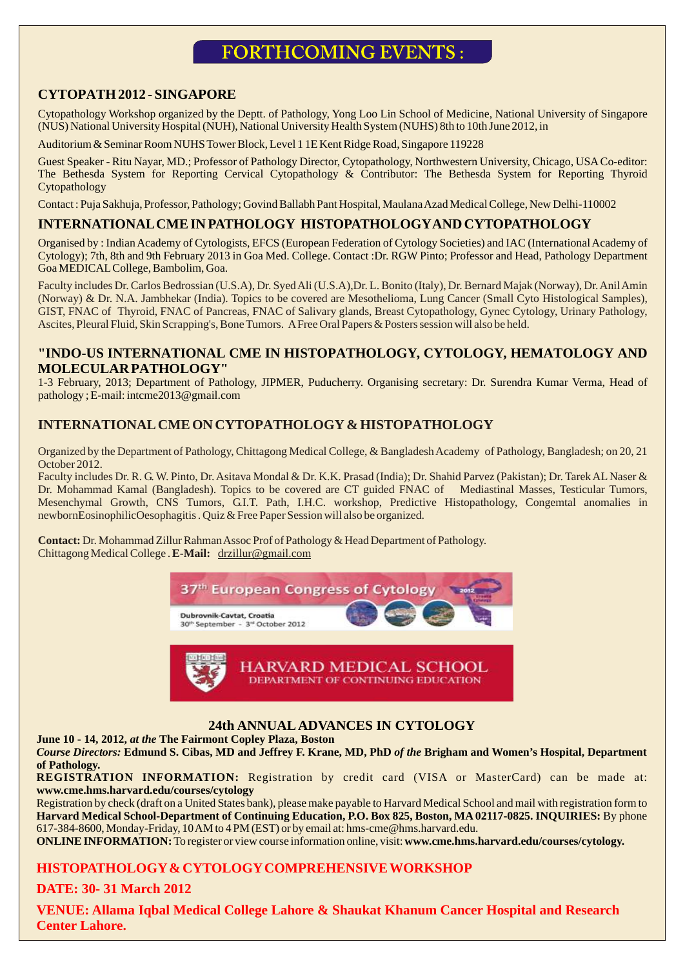## **FORTHCOMING EVENTS:**

## **CYTOPATH 2012 - SINGAPORE**

Cytopathology Workshop organized by the Deptt. of Pathology, Yong Loo Lin School of Medicine, National University of Singapore (NUS) National University Hospital (NUH), National University Health System (NUHS) 8th to 10th June 2012, in

Auditorium & Seminar Room NUHS Tower Block, Level 1 1E Kent Ridge Road, Singapore 119228

Guest Speaker - Ritu Nayar, MD.; Professor of Pathology Director, Cytopathology, Northwestern University, Chicago, USA Co-editor: The Bethesda System for Reporting Cervical Cytopathology & Contributor: The Bethesda System for Reporting Thyroid Cytopathology

Contact : Puja Sakhuja, Professor, Pathology; Govind Ballabh Pant Hospital, Maulana Azad Medical College, New Delhi-110002

#### **INTERNATIONAL CME IN PATHOLOGY HISTOPATHOLOGYAND CYTOPATHOLOGY**

Organised by : Indian Academy of Cytologists, EFCS (European Federation of Cytology Societies) and IAC (International Academy of Cytology); 7th, 8th and 9th February 2013 in Goa Med. College. Contact :Dr. RGW Pinto; Professor and Head, Pathology Department Goa MEDICAL College, Bambolim, Goa.

Faculty includes Dr. Carlos Bedrossian (U.S.A), Dr. Syed Ali (U.S.A),Dr. L. Bonito (Italy), Dr. Bernard Majak (Norway), Dr. Anil Amin (Norway) & Dr. N.A. Jambhekar (India). Topics to be covered are Mesothelioma, Lung Cancer (Small Cyto Histological Samples), GIST, FNAC of Thyroid, FNAC of Pancreas, FNAC of Salivary glands, Breast Cytopathology, Gynec Cytology, Urinary Pathology, Ascites, Pleural Fluid, Skin Scrapping's, Bone Tumors. A Free Oral Papers & Posters session will also be held.

#### **"INDO-US INTERNATIONAL CME IN HISTOPATHOLOGY, CYTOLOGY, HEMATOLOGY AND MOLECULAR PATHOLOGY"**

1-3 February, 2013; Department of Pathology, JIPMER, Puducherry. Organising secretary: Dr. Surendra Kumar Verma, Head of pathology ; E-mail: intcme2013@gmail.com

## **INTERNATIONAL CME ON CYTOPATHOLOGY & HISTOPATHOLOGY**

Organized by the Department of Pathology, Chittagong Medical College, & Bangladesh Academy of Pathology, Bangladesh; on 20, 21 October 2012.

Faculty includes Dr. R. G. W. Pinto, Dr. Asitava Mondal & Dr. K.K. Prasad (India); Dr. Shahid Parvez (Pakistan); Dr. Tarek AL Naser & Dr. Mohammad Kamal (Bangladesh). Topics to be covered are CT guided FNAC of Mediastinal Masses, Testicular Tumors, Mesenchymal Growth, CNS Tumors, G.I.T. Path, I.H.C. workshop, Predictive Histopathology, Congemtal anomalies in newbornEosinophilicOesophagitis . Quiz & Free Paper Session will also be organized.

**Contact:** Dr. Mohammad Zillur Rahman Assoc Prof of Pathology & Head Department of Pathology. Chittagong Medical College . **E-Mail:** drzillur@gmail.com



## **24th ANNUAL ADVANCES IN CYTOLOGY**

**June 10 - 14, 2012,** *at the* **The Fairmont Copley Plaza, Boston**

*Course Directors:* **Edmund S. Cibas, MD and Jeffrey F. Krane, MD, PhD** *of the* **Brigham and Women's Hospital, Department of Pathology.** 

**REGISTRATION INFORMATION:** Registration by credit card (VISA or MasterCard) can be made at: **www.cme.hms.harvard.edu/courses/cytology**

Registration by check (draft on a United States bank), please make payable to Harvard Medical School and mail with registration form to **Harvard Medical School-Department of Continuing Education, P.O. Box 825, Boston, MA 02117-0825. INQUIRIES:** By phone 617-384-8600, Monday-Friday, 10 AM to 4 PM (EST) or by email at: hms-cme@hms.harvard.edu.

**ONLINE INFORMATION:** To register or view course information online, visit: **www.cme.hms.harvard.edu/courses/cytology.**

#### **HISTOPATHOLOGY & CYTOLOGY COMPREHENSIVE WORKSHOP**

#### **DATE: 30- 31 March 2012**

**VENUE: Allama Iqbal Medical College Lahore & Shaukat Khanum Cancer Hospital and Research Center Lahore.**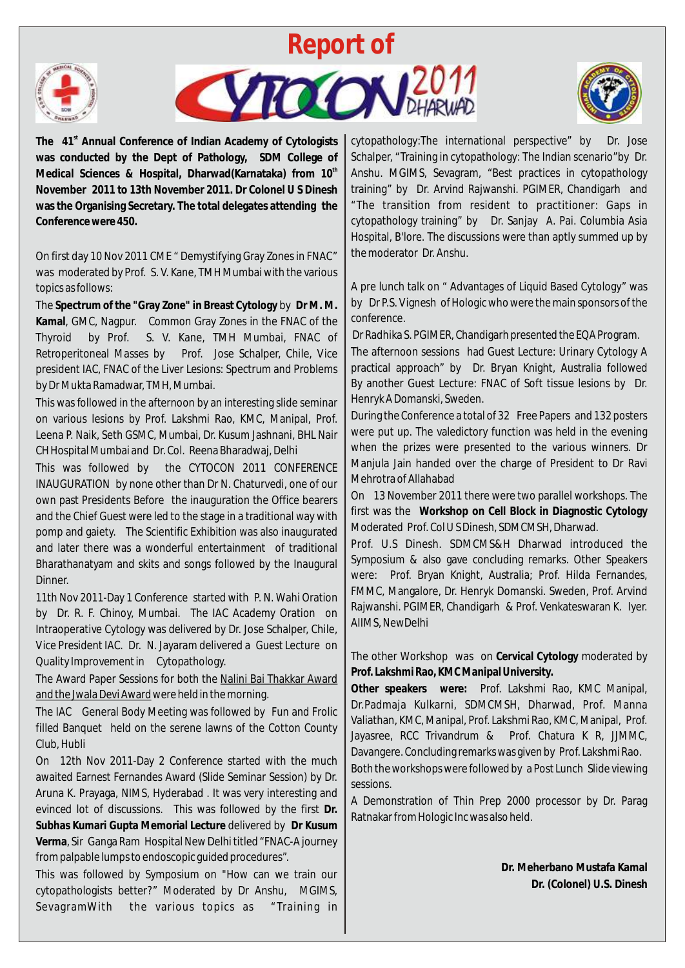





The 41<sup>st</sup> Annual Conference of Indian Academy of Cytologists **was conducted by the Dept of Pathology, SDM College of th Medical Sciences & Hospital, Dharwad(Karnataka) from 10 November 2011 to 13th November 2011. Dr Colonel U S Dinesh was the Organising Secretary. The total delegates attending the Conference were 450.**

On first day 10 Nov 2011 CME " Demystifying Gray Zones in FNAC" was moderated by Prof. S. V. Kane, TMH Mumbai with the various topics as follows:

The **Spectrum of the "Gray Zone" in Breast Cytology** by **Dr M. M. Kamal**, GMC, Nagpur. Common Gray Zones in the FNAC of the Thyroid by Prof. S. V. Kane, TMH Mumbai, FNAC of Retroperitoneal Masses by Prof. Jose Schalper, Chile, Vice president IAC, FNAC of the Liver Lesions: Spectrum and Problems by Dr Mukta Ramadwar, TMH, Mumbai.

This was followed in the afternoon by an interesting slide seminar on various lesions by Prof. Lakshmi Rao, KMC, Manipal, Prof. Leena P. Naik, Seth GSMC, Mumbai, Dr. Kusum Jashnani, BHL Nair CH Hospital Mumbai and Dr. Col. Reena Bharadwaj, Delhi

This was followed by the CYTOCON 2011 CONFERENCE INAUGURATION by none other than Dr N. Chaturvedi, one of our own past Presidents Before the inauguration the Office bearers and the Chief Guest were led to the stage in a traditional way with pomp and gaiety. The Scientific Exhibition was also inaugurated and later there was a wonderful entertainment of traditional Bharathanatyam and skits and songs followed by the Inaugural Dinner.

11th Nov 2011-Day 1 Conference started with P. N. Wahi Oration by Dr. R. F. Chinoy, Mumbai. The IAC Academy Oration on Intraoperative Cytology was delivered by Dr. Jose Schalper, Chile, Vice President IAC. Dr. N. Jayaram delivered a Guest Lecture on Quality Improvement in Cytopathology.

The Award Paper Sessions for both the Nalini Bai Thakkar Award and the Jwala Devi Award were held in the morning.

The IAC General Body Meeting was followed by Fun and Frolic filled Banquet held on the serene lawns of the Cotton County Club, Hubli

On 12th Nov 2011-Day 2 Conference started with the much awaited Earnest Fernandes Award (Slide Seminar Session) by Dr. Aruna K. Prayaga, NIMS, Hyderabad . It was very interesting and evinced lot of discussions. This was followed by the first **Dr. Subhas Kumari Gupta Memorial Lecture** delivered by **Dr Kusum Verma**, Sir Ganga Ram Hospital New Delhi titled "FNAC-A journey from palpable lumps to endoscopic guided procedures".

This was followed by Symposium on "How can we train our cytopathologists better?" Moderated by Dr Anshu, MGIMS, SevagramWith the various topics as "Training in cytopathology:The international perspective" by Dr. Jose Schalper, "Training in cytopathology: The Indian scenario"by Dr. Anshu. MGIMS, Sevagram, "Best practices in cytopathology training" by Dr. Arvind Rajwanshi. PGIMER, Chandigarh and "The transition from resident to practitioner: Gaps in cytopathology training" by Dr. Sanjay A. Pai. Columbia Asia Hospital, B'lore. The discussions were than aptly summed up by the moderator Dr. Anshu.

A pre lunch talk on " Advantages of Liquid Based Cytology" was by Dr P.S. Vignesh of Hologic who were the main sponsors of the conference.

Dr Radhika S. PGIMER, Chandigarh presented the EQA Program.

The afternoon sessions had Guest Lecture: Urinary Cytology A practical approach" by Dr. Bryan Knight, Australia followed By another Guest Lecture: FNAC of Soft tissue lesions by Dr. Henryk A Domanski, Sweden.

During the Conference a total of 32 Free Papers and 132 posters were put up. The valedictory function was held in the evening when the prizes were presented to the various winners. Dr Manjula Jain handed over the charge of President to Dr Ravi Mehrotra of Allahabad

On 13 November 2011 there were two parallel workshops. The first was the **Workshop on Cell Block in Diagnostic Cytology**  Moderated Prof. Col U S Dinesh, SDMCMSH, Dharwad.

Prof. U.S Dinesh. SDMCMS&H Dharwad introduced the Symposium & also gave concluding remarks. Other Speakers were: Prof. Bryan Knight, Australia; Prof. Hilda Fernandes, FMMC, Mangalore, Dr. Henryk Domanski. Sweden, Prof. Arvind Rajwanshi. PGIMER, Chandigarh & Prof. Venkateswaran K. Iyer. AIIMS, NewDelhi

The other Workshop was on **Cervical Cytology** moderated by **Prof. Lakshmi Rao, KMC Manipal University.**

**Other speakers were:** Prof. Lakshmi Rao, KMC Manipal, Dr.Padmaja Kulkarni, SDMCMSH, Dharwad, Prof. Manna Valiathan, KMC, Manipal, Prof. Lakshmi Rao, KMC, Manipal, Prof. Jayasree, RCC Trivandrum & Prof. Chatura K R, JJMMC, Davangere. Concluding remarks was given by Prof. Lakshmi Rao.

Both the workshops were followed by a Post Lunch Slide viewing sessions.

A Demonstration of Thin Prep 2000 processor by Dr. Parag Ratnakar from Hologic Inc was also held.

> **Dr. Meherbano Mustafa Kamal Dr. (Colonel) U.S. Dinesh**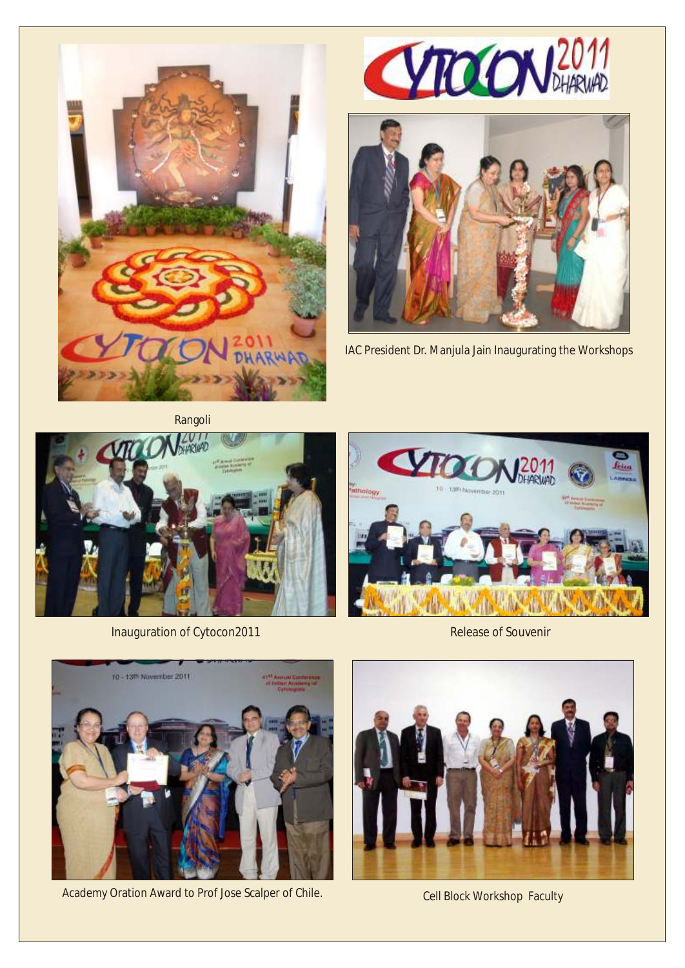





IAC President Dr. Manjula Jain Inaugurating the Workshops

Rangoli



Inauguration of Cytocon2011 and Calculation Cytocon2011 and Cytocon2011 and Cytocon2011 and Cytocon2011 and Cytocon2011





Academy Oration Award to Prof Jose Scalper of Chile. Cell Block Workshop Faculty

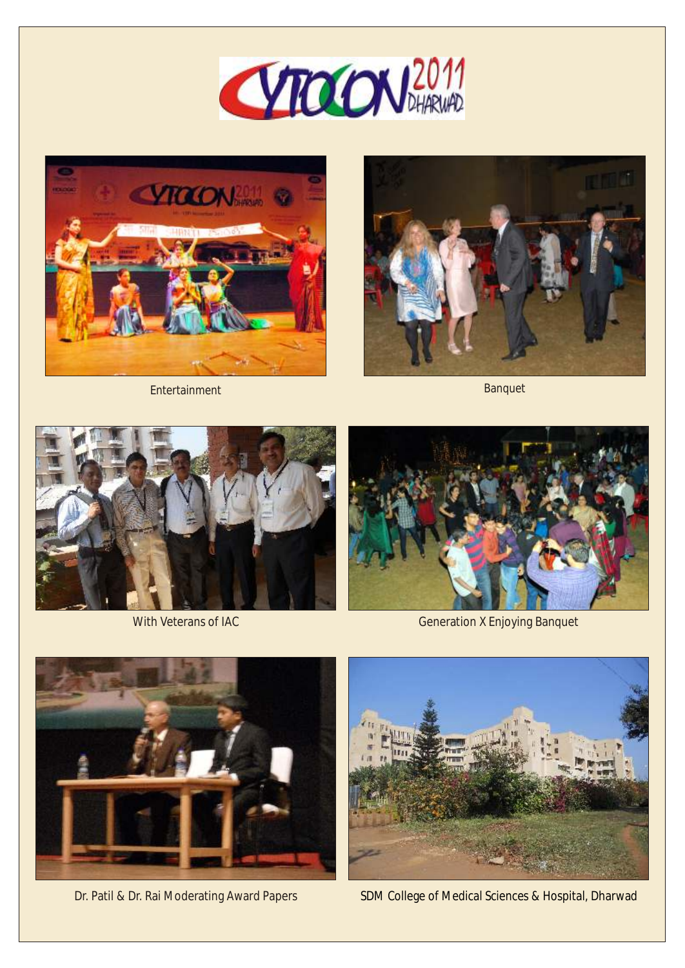









With Veterans of IAC



Generation X Enjoying Banquet



Dr. Patil & Dr. Rai Moderating Award Papers



SDM College of Medical Sciences & Hospital, Dharwad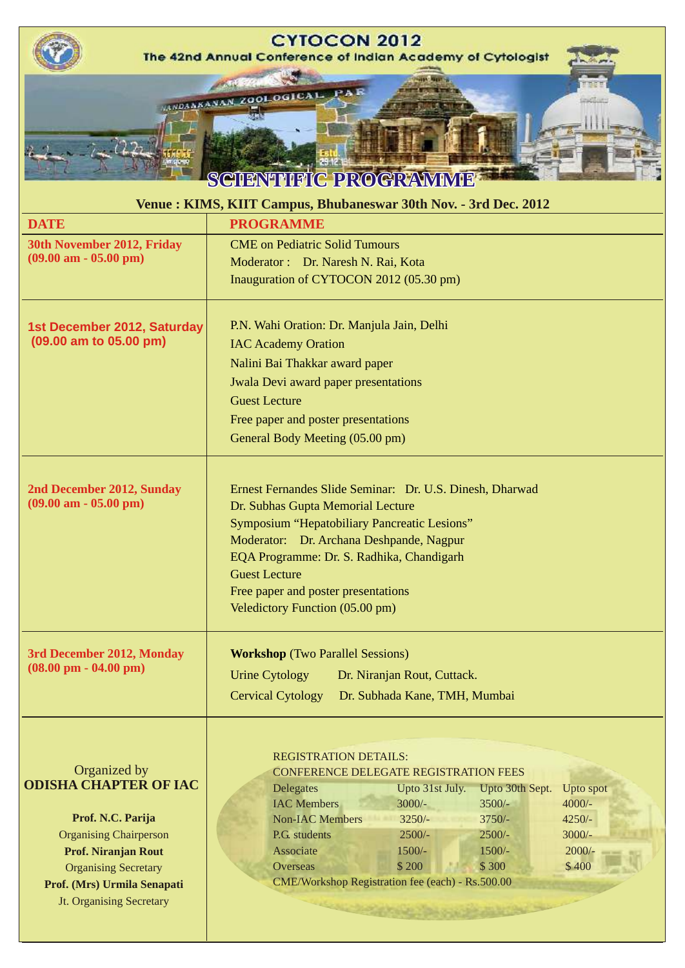| <b>CYTOCON 2012</b><br>The 42nd Annual Conference of Indian Academy of Cytologist                                                                                                                                                 |                                                                                                                                                                                                                                                                                                                                                                                                                                                                              |  |  |  |  |
|-----------------------------------------------------------------------------------------------------------------------------------------------------------------------------------------------------------------------------------|------------------------------------------------------------------------------------------------------------------------------------------------------------------------------------------------------------------------------------------------------------------------------------------------------------------------------------------------------------------------------------------------------------------------------------------------------------------------------|--|--|--|--|
| <b>DATE</b>                                                                                                                                                                                                                       | FA R<br>ANDANANAN ZOOLOGICAL<br>SCIENTHITIC PROGRAMME<br>Venue: KIMS, KIIT Campus, Bhubaneswar 30th Nov. - 3rd Dec. 2012<br><b>PROGRAMME</b>                                                                                                                                                                                                                                                                                                                                 |  |  |  |  |
| 30th November 2012, Friday                                                                                                                                                                                                        | <b>CME</b> on Pediatric Solid Tumours                                                                                                                                                                                                                                                                                                                                                                                                                                        |  |  |  |  |
| $(09.00 \text{ am} - 05.00 \text{ pm})$                                                                                                                                                                                           | Moderator: Dr. Naresh N. Rai, Kota<br>Inauguration of CYTOCON 2012 (05.30 pm)                                                                                                                                                                                                                                                                                                                                                                                                |  |  |  |  |
| 1st December 2012, Saturday<br>$(09.00$ am to $05.00$ pm)                                                                                                                                                                         | P.N. Wahi Oration: Dr. Manjula Jain, Delhi<br><b>IAC Academy Oration</b><br>Nalini Bai Thakkar award paper<br><b>Jwala Devi award paper presentations</b><br><b>Guest Lecture</b><br>Free paper and poster presentations<br>General Body Meeting (05.00 pm)                                                                                                                                                                                                                  |  |  |  |  |
| 2nd December 2012, Sunday<br>$(09.00 \text{ am} - 05.00 \text{ pm})$                                                                                                                                                              | Ernest Fernandes Slide Seminar: Dr. U.S. Dinesh, Dharwad<br>Dr. Subhas Gupta Memorial Lecture<br>Symposium "Hepatobiliary Pancreatic Lesions"<br>Moderator: Dr. Archana Deshpande, Nagpur<br>EQA Programme: Dr. S. Radhika, Chandigarh<br><b>Guest Lecture</b><br>Free paper and poster presentations<br>Veledictory Function (05.00 pm)                                                                                                                                     |  |  |  |  |
| 3rd December 2012, Monday<br>$(08.00 \text{ pm} - 04.00 \text{ pm})$                                                                                                                                                              | <b>Workshop</b> (Two Parallel Sessions)<br><b>Urine Cytology</b><br>Dr. Niranjan Rout, Cuttack.<br><b>Cervical Cytology</b><br>Dr. Subhada Kane, TMH, Mumbai                                                                                                                                                                                                                                                                                                                 |  |  |  |  |
| Organized by<br><b>ODISHA CHAPTER OF IAC</b><br>Prof. N.C. Parija<br><b>Organising Chairperson</b><br><b>Prof. Niranjan Rout</b><br><b>Organising Secretary</b><br>Prof. (Mrs) Urmila Senapati<br><b>Jt. Organising Secretary</b> | <b>REGISTRATION DETAILS:</b><br><b>CONFERENCE DELEGATE REGISTRATION FEES</b><br>Upto 31st July.<br>Upto 30th Sept.<br>Upto spot<br><b>Delegates</b><br><b>IAC Members</b><br>$3000/-$<br>$4000/-$<br>$3500/-$<br><b>Non-IAC Members</b><br>$3250/-$<br>$3750/-$<br>$4250/-$<br>P.G. students<br>$2500/-$<br>$2500/-$<br>$3000/-$<br>Associate<br>$1500/-$<br>$1500/-$<br>$2000/-$<br>\$200<br>\$300<br>\$400<br>Overseas<br>CME/Workshop Registration fee (each) - Rs.500.00 |  |  |  |  |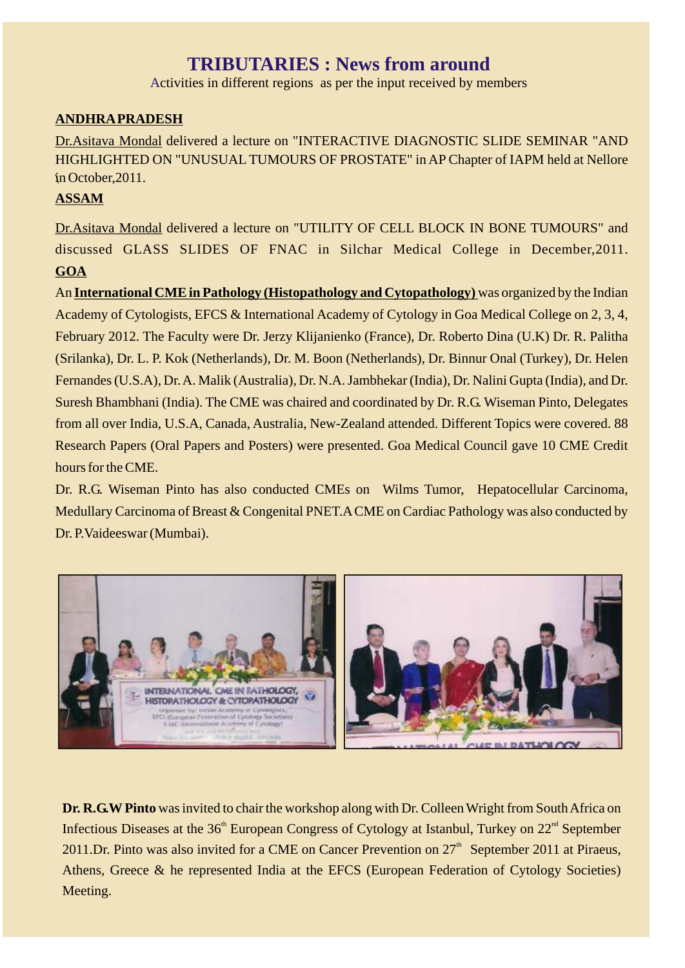## **TRIBUTARIES : News from around**

Activities in different regions as per the input received by members

## **ANDHRA PRADESH**

Dr.Asitava Mondal delivered a lecture on "INTERACTIVE DIAGNOSTIC SLIDE SEMINAR "AND HIGHLIGHTED ON "UNUSUAL TUMOURS OF PROSTATE" in AP Chapter of IAPM held at Nellore in October, 2011.

## **ASSAM**

Dr.Asitava Mondal delivered a lecture on "UTILITY OF CELL BLOCK IN BONE TUMOURS" and discussed GLASS SLIDES OF FNAC in Silchar Medical College in December,2011. **GOA**

An **International CME in Pathology (Histopathology and Cytopathology)** was organized by the Indian Academy of Cytologists, EFCS & International Academy of Cytology in Goa Medical College on 2, 3, 4, February 2012. The Faculty were Dr. Jerzy Klijanienko (France), Dr. Roberto Dina (U.K) Dr. R. Palitha (Srilanka), Dr. L. P. Kok (Netherlands), Dr. M. Boon (Netherlands), Dr. Binnur Onal (Turkey), Dr. Helen Fernandes (U.S.A), Dr. A. Malik (Australia), Dr. N.A. Jambhekar (India), Dr. Nalini Gupta (India), and Dr. Suresh Bhambhani (India). The CME was chaired and coordinated by Dr. R.G. Wiseman Pinto, Delegates from all over India, U.S.A, Canada, Australia, New-Zealand attended. Different Topics were covered. 88 Research Papers (Oral Papers and Posters) were presented. Goa Medical Council gave 10 CME Credit hours for the CME.

Dr. R.G. Wiseman Pinto has also conducted CMEs on Wilms Tumor, Hepatocellular Carcinoma, Medullary Carcinoma of Breast & Congenital PNET.A CME on Cardiac Pathology was also conducted by Dr. P.Vaideeswar (Mumbai).



**Dr. R.G.W Pinto** was invited to chair the workshop along with Dr. Colleen Wright from South Africa on Infectious Diseases at the  $36<sup>th</sup>$  European Congress of Cytology at Istanbul, Turkey on  $22<sup>nd</sup>$  September 2011.Dr. Pinto was also invited for a CME on Cancer Prevention on  $27<sup>th</sup>$  September 2011 at Piraeus, Athens, Greece & he represented India at the EFCS (European Federation of Cytology Societies) Meeting.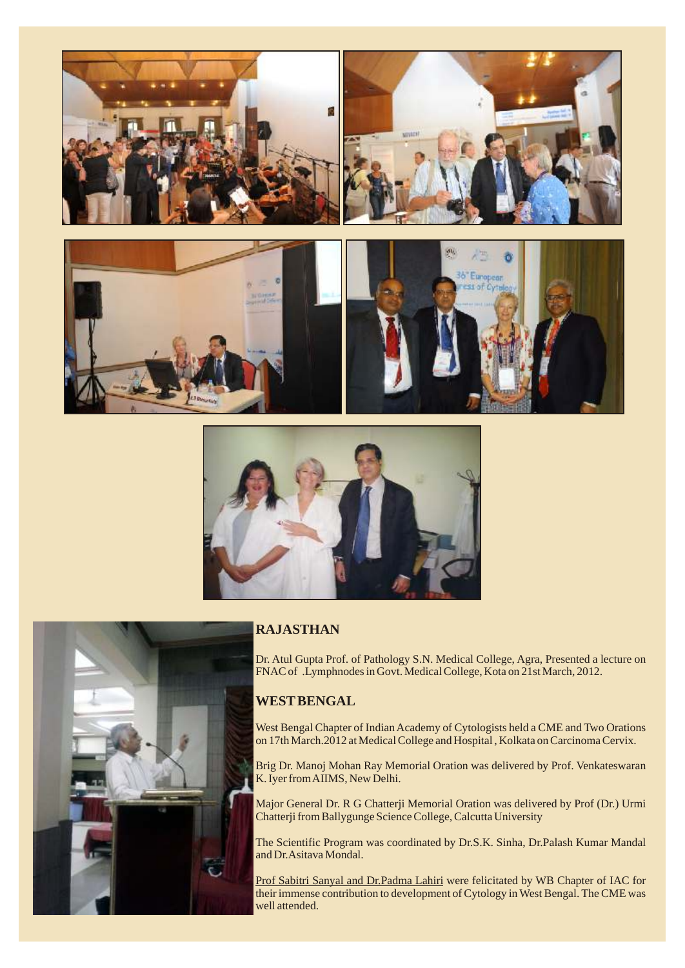





#### **RAJASTHAN**

Dr. Atul Gupta Prof. of Pathology S.N. Medical College, Agra, Presented a lecture on FNAC of .Lymphnodes in Govt. Medical College, Kota on 21st March, 2012.

#### **WEST BENGAL**

West Bengal Chapter of Indian Academy of Cytologists held a CME and Two Orations on 17th March.2012 at Medical College and Hospital , Kolkata on Carcinoma Cervix.

Brig Dr. Manoj Mohan Ray Memorial Oration was delivered by Prof. Venkateswaran K. Iyer from AIIMS, New Delhi.

Major General Dr. R G Chatterji Memorial Oration was delivered by Prof (Dr.) Urmi Chatterji from Ballygunge Science College, Calcutta University

The Scientific Program was coordinated by Dr.S.K. Sinha, Dr.Palash Kumar Mandal and Dr.Asitava Mondal.

Prof Sabitri Sanyal and Dr.Padma Lahiri were felicitated by WB Chapter of IAC for their immense contribution to development of Cytology in West Bengal. The CME was well attended.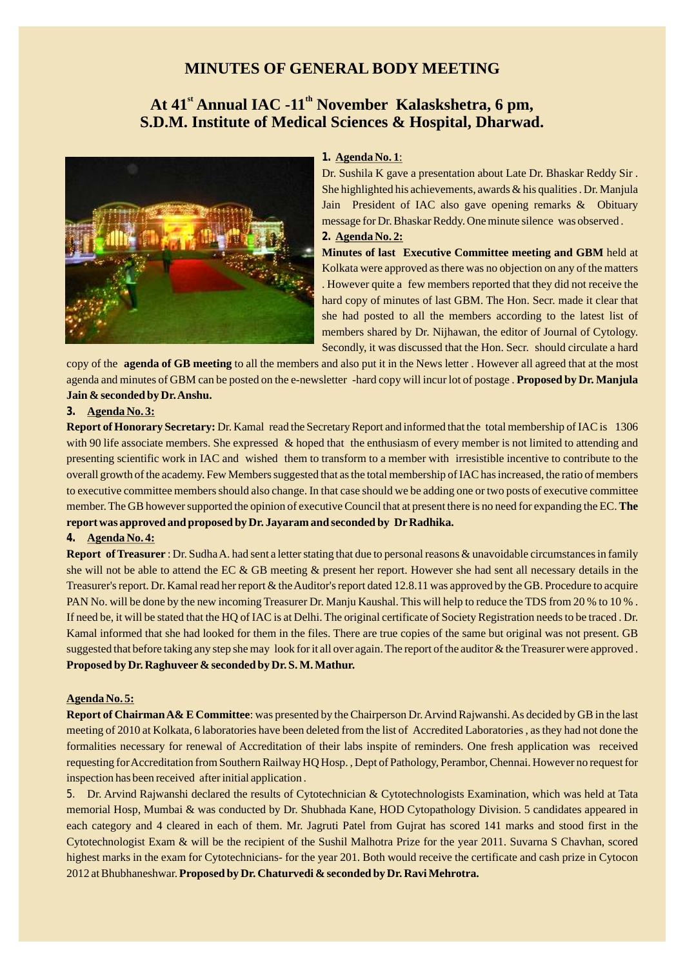## **MINUTES OF GENERAL BODY MEETING**

## **st th At 41 Annual IAC -11 November Kalaskshetra, 6 pm, S.D.M. Institute of Medical Sciences & Hospital, Dharwad.**



#### **1. Agenda No. 1**:

Dr. Sushila K gave a presentation about Late Dr. Bhaskar Reddy Sir . She highlighted his achievements, awards & his qualities . Dr. Manjula Jain President of IAC also gave opening remarks & Obituary message for Dr. Bhaskar Reddy. One minute silence was observed . **2. Agenda No. 2:**

**Minutes of last Executive Committee meeting and GBM** held at Kolkata were approved as there was no objection on any of the matters . However quite a few members reported that they did not receive the hard copy of minutes of last GBM. The Hon. Secr. made it clear that she had posted to all the members according to the latest list of members shared by Dr. Nijhawan, the editor of Journal of Cytology. Secondly, it was discussed that the Hon. Secr. should circulate a hard

copy of the **agenda of GB meeting** to all the members and also put it in the News letter . However all agreed that at the most agenda and minutes of GBM can be posted on the e-newsletter -hard copy will incur lot of postage . **Proposed by Dr. Manjula Jain & seconded by Dr. Anshu.**

#### **3. Agenda No. 3:**

**Report of Honorary Secretary:** Dr. Kamal read the Secretary Report and informed that the total membership of IAC is 1306 with 90 life associate members. She expressed & hoped that the enthusiasm of every member is not limited to attending and presenting scientific work in IAC and wished them to transform to a member with irresistible incentive to contribute to the overall growth of the academy. Few Members suggested that as the total membership of IAC has increased, the ratio of members to executive committee members should also change. In that case should we be adding one or two posts of executive committee member. The GB however supported the opinion of executive Council that at present there is no need for expanding the EC. **The report was approved and proposed by Dr. Jayaram and seconded by Dr Radhika.** 

#### **4. Agenda No. 4:**

**Report of Treasurer** : Dr. Sudha A. had sent a letter stating that due to personal reasons & unavoidable circumstances in family she will not be able to attend the EC & GB meeting & present her report. However she had sent all necessary details in the Treasurer's report. Dr. Kamal read her report & the Auditor's report dated 12.8.11 was approved by the GB. Procedure to acquire PAN No. will be done by the new incoming Treasurer Dr. Manju Kaushal. This will help to reduce the TDS from 20 % to 10 % . If need be, it will be stated that the HQ of IAC is at Delhi. The original certificate of Society Registration needs to be traced . Dr. Kamal informed that she had looked for them in the files. There are true copies of the same but original was not present. GB suggested that before taking any step she may look for it all over again. The report of the auditor & the Treasurer were approved . **Proposed by Dr. Raghuveer & seconded by Dr. S. M. Mathur.**

#### **Agenda No. 5:**

**Report of Chairman A& E Committee**: was presented by the Chairperson Dr. Arvind Rajwanshi. As decided by GB in the last meeting of 2010 at Kolkata, 6 laboratories have been deleted from the list of Accredited Laboratories , as they had not done the formalities necessary for renewal of Accreditation of their labs inspite of reminders. One fresh application was received requesting for Accreditation from Southern Railway HQ Hosp. , Dept of Pathology, Perambor, Chennai. However no request for inspection has been received after initial application .

5. Dr. Arvind Rajwanshi declared the results of Cytotechnician & Cytotechnologists Examination, which was held at Tata memorial Hosp, Mumbai & was conducted by Dr. Shubhada Kane, HOD Cytopathology Division. 5 candidates appeared in each category and 4 cleared in each of them. Mr. Jagruti Patel from Gujrat has scored 141 marks and stood first in the Cytotechnologist Exam & will be the recipient of the Sushil Malhotra Prize for the year 2011. Suvarna S Chavhan, scored highest marks in the exam for Cytotechnicians- for the year 201. Both would receive the certificate and cash prize in Cytocon 2012 at Bhubhaneshwar. **Proposed by Dr. Chaturvedi & seconded by Dr. Ravi Mehrotra.**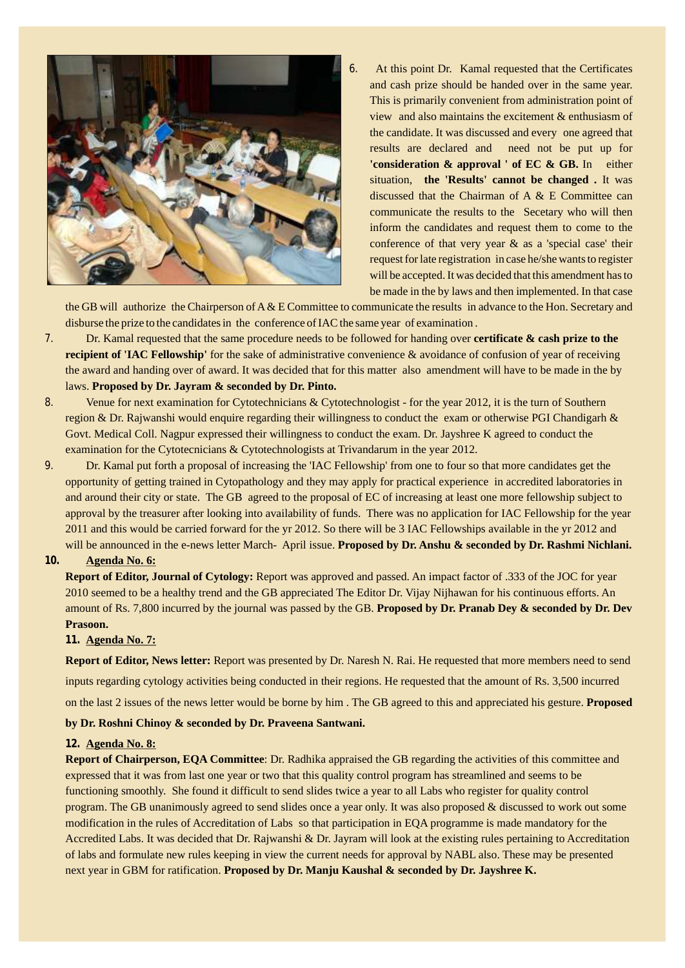

6. At this point Dr. Kamal requested that the Certificates and cash prize should be handed over in the same year. This is primarily convenient from administration point of view and also maintains the excitement & enthusiasm of the candidate. It was discussed and every one agreed that results are declared and need not be put up for **'consideration & approval ' of EC & GB.** In either situation, **the 'Results' cannot be changed .** It was discussed that the Chairman of A & E Committee can communicate the results to the Secetary who will then inform the candidates and request them to come to the conference of that very year & as a 'special case' their request for late registration in case he/she wants to register will be accepted. It was decided that this amendment has to be made in the by laws and then implemented. In that case

the GB will authorize the Chairperson of A & E Committee to communicate the results in advance to the Hon. Secretary and disburse the prize to the candidates in the conference of IAC the same year of examination .

- 7. Dr. Kamal requested that the same procedure needs to be followed for handing over **certificate & cash prize to the recipient of 'IAC Fellowship'** for the sake of administrative convenience & avoidance of confusion of year of receiving the award and handing over of award. It was decided that for this matter also amendment will have to be made in the by laws. **Proposed by Dr. Jayram & seconded by Dr. Pinto.**
- 8. Venue for next examination for Cytotechnicians & Cytotechnologist for the year 2012, it is the turn of Southern region & Dr. Rajwanshi would enquire regarding their willingness to conduct the exam or otherwise PGI Chandigarh & Govt. Medical Coll. Nagpur expressed their willingness to conduct the exam. Dr. Jayshree K agreed to conduct the examination for the Cytotecnicians & Cytotechnologists at Trivandarum in the year 2012.
- 9. Dr. Kamal put forth a proposal of increasing the 'IAC Fellowship' from one to four so that more candidates get the opportunity of getting trained in Cytopathology and they may apply for practical experience in accredited laboratories in and around their city or state. The GB agreed to the proposal of EC of increasing at least one more fellowship subject to approval by the treasurer after looking into availability of funds. There was no application for IAC Fellowship for the year 2011 and this would be carried forward for the yr 2012. So there will be 3 IAC Fellowships available in the yr 2012 and will be announced in the e-news letter March- April issue. **Proposed by Dr. Anshu & seconded by Dr. Rashmi Nichlani.**

#### **10. Agenda No. 6:**

**Report of Editor, Journal of Cytology:** Report was approved and passed. An impact factor of .333 of the JOC for year 2010 seemed to be a healthy trend and the GB appreciated The Editor Dr. Vijay Nijhawan for his continuous efforts. An amount of Rs. 7,800 incurred by the journal was passed by the GB. **Proposed by Dr. Pranab Dey & seconded by Dr. Dev Prasoon.**

#### **11. Agenda No. 7:**

**Report of Editor, News letter:** Report was presented by Dr. Naresh N. Rai. He requested that more members need to send inputs regarding cytology activities being conducted in their regions. He requested that the amount of Rs. 3,500 incurred on the last 2 issues of the news letter would be borne by him . The GB agreed to this and appreciated his gesture. **Proposed** 

**by Dr. Roshni Chinoy & seconded by Dr. Praveena Santwani.**

#### **12. Agenda No. 8:**

**Report of Chairperson, EQA Committee**: Dr. Radhika appraised the GB regarding the activities of this committee and expressed that it was from last one year or two that this quality control program has streamlined and seems to be functioning smoothly. She found it difficult to send slides twice a year to all Labs who register for quality control program. The GB unanimously agreed to send slides once a year only. It was also proposed & discussed to work out some modification in the rules of Accreditation of Labs so that participation in EQA programme is made mandatory for the Accredited Labs. It was decided that Dr. Rajwanshi & Dr. Jayram will look at the existing rules pertaining to Accreditation of labs and formulate new rules keeping in view the current needs for approval by NABL also. These may be presented next year in GBM for ratification. **Proposed by Dr. Manju Kaushal & seconded by Dr. Jayshree K.**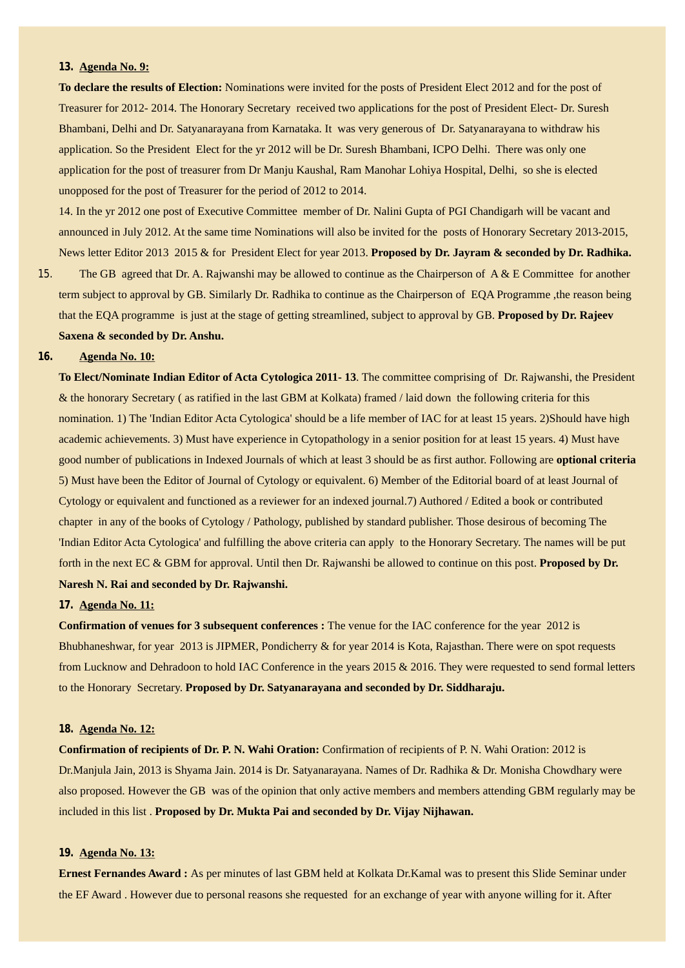#### **13. Agenda No. 9:**

**To declare the results of Election:** Nominations were invited for the posts of President Elect 2012 and for the post of Treasurer for 2012- 2014. The Honorary Secretary received two applications for the post of President Elect- Dr. Suresh Bhambani, Delhi and Dr. Satyanarayana from Karnataka. It was very generous of Dr. Satyanarayana to withdraw his application. So the President Elect for the yr 2012 will be Dr. Suresh Bhambani, ICPO Delhi. There was only one application for the post of treasurer from Dr Manju Kaushal, Ram Manohar Lohiya Hospital, Delhi, so she is elected unopposed for the post of Treasurer for the period of 2012 to 2014.

14. In the yr 2012 one post of Executive Committee member of Dr. Nalini Gupta of PGI Chandigarh will be vacant and announced in July 2012. At the same time Nominations will also be invited for the posts of Honorary Secretary 2013-2015, News letter Editor 2013 2015 & for President Elect for year 2013. **Proposed by Dr. Jayram & seconded by Dr. Radhika.**

15. The GB agreed that Dr. A. Rajwanshi may be allowed to continue as the Chairperson of A & E Committee for another term subject to approval by GB. Similarly Dr. Radhika to continue as the Chairperson of EQA Programme ,the reason being that the EQA programme is just at the stage of getting streamlined, subject to approval by GB. **Proposed by Dr. Rajeev Saxena & seconded by Dr. Anshu.**

#### **16. Agenda No. 10:**

**To Elect/Nominate Indian Editor of Acta Cytologica 2011- 13**. The committee comprising of Dr. Rajwanshi, the President & the honorary Secretary ( as ratified in the last GBM at Kolkata) framed / laid down the following criteria for this nomination. 1) The 'Indian Editor Acta Cytologica' should be a life member of IAC for at least 15 years. 2)Should have high academic achievements. 3) Must have experience in Cytopathology in a senior position for at least 15 years. 4) Must have good number of publications in Indexed Journals of which at least 3 should be as first author. Following are **optional criteria**  5) Must have been the Editor of Journal of Cytology or equivalent. 6) Member of the Editorial board of at least Journal of Cytology or equivalent and functioned as a reviewer for an indexed journal.7) Authored / Edited a book or contributed chapter in any of the books of Cytology / Pathology, published by standard publisher. Those desirous of becoming The 'Indian Editor Acta Cytologica' and fulfilling the above criteria can apply to the Honorary Secretary. The names will be put forth in the next EC & GBM for approval. Until then Dr. Rajwanshi be allowed to continue on this post. **Proposed by Dr. Naresh N. Rai and seconded by Dr. Rajwanshi.**

#### **17. Agenda No. 11:**

**Confirmation of venues for 3 subsequent conferences :** The venue for the IAC conference for the year 2012 is Bhubhaneshwar, for year 2013 is JIPMER, Pondicherry & for year 2014 is Kota, Rajasthan. There were on spot requests from Lucknow and Dehradoon to hold IAC Conference in the years 2015 & 2016. They were requested to send formal letters to the Honorary Secretary. **Proposed by Dr. Satyanarayana and seconded by Dr. Siddharaju.**

#### **18. Agenda No. 12:**

**Confirmation of recipients of Dr. P. N. Wahi Oration:** Confirmation of recipients of P. N. Wahi Oration: 2012 is Dr.Manjula Jain, 2013 is Shyama Jain. 2014 is Dr. Satyanarayana. Names of Dr. Radhika & Dr. Monisha Chowdhary were also proposed. However the GB was of the opinion that only active members and members attending GBM regularly may be included in this list . **Proposed by Dr. Mukta Pai and seconded by Dr. Vijay Nijhawan.**

#### **19. Agenda No. 13:**

**Ernest Fernandes Award :** As per minutes of last GBM held at Kolkata Dr.Kamal was to present this Slide Seminar under the EF Award . However due to personal reasons she requested for an exchange of year with anyone willing for it. After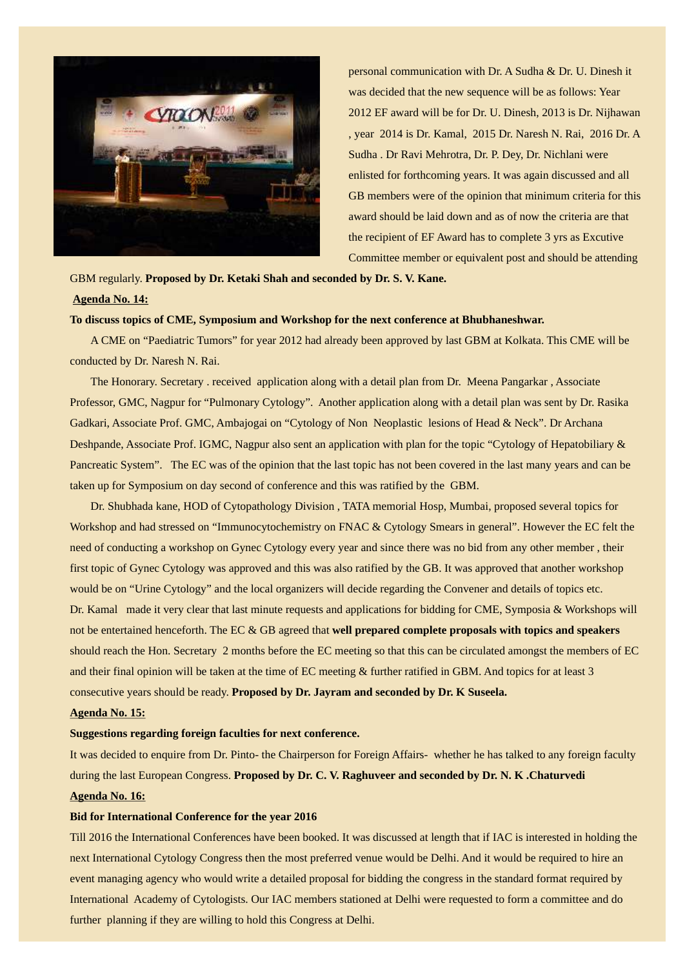

personal communication with Dr. A Sudha & Dr. U. Dinesh it was decided that the new sequence will be as follows: Year 2012 EF award will be for Dr. U. Dinesh, 2013 is Dr. Nijhawan , year 2014 is Dr. Kamal, 2015 Dr. Naresh N. Rai, 2016 Dr. A Sudha . Dr Ravi Mehrotra, Dr. P. Dey, Dr. Nichlani were enlisted for forthcoming years. It was again discussed and all GB members were of the opinion that minimum criteria for this award should be laid down and as of now the criteria are that the recipient of EF Award has to complete 3 yrs as Excutive Committee member or equivalent post and should be attending

GBM regularly. **Proposed by Dr. Ketaki Shah and seconded by Dr. S. V. Kane.**

#### **Agenda No. 14:**

#### **To discuss topics of CME, Symposium and Workshop for the next conference at Bhubhaneshwar.**

A CME on "Paediatric Tumors" for year 2012 had already been approved by last GBM at Kolkata. This CME will be conducted by Dr. Naresh N. Rai.

The Honorary. Secretary . received application along with a detail plan from Dr. Meena Pangarkar , Associate Professor, GMC, Nagpur for "Pulmonary Cytology". Another application along with a detail plan was sent by Dr. Rasika Gadkari, Associate Prof. GMC, Ambajogai on "Cytology of Non Neoplastic lesions of Head & Neck". Dr Archana Deshpande, Associate Prof. IGMC, Nagpur also sent an application with plan for the topic "Cytology of Hepatobiliary & Pancreatic System". The EC was of the opinion that the last topic has not been covered in the last many years and can be taken up for Symposium on day second of conference and this was ratified by the GBM.

Dr. Shubhada kane, HOD of Cytopathology Division , TATA memorial Hosp, Mumbai, proposed several topics for Workshop and had stressed on "Immunocytochemistry on FNAC & Cytology Smears in general". However the EC felt the need of conducting a workshop on Gynec Cytology every year and since there was no bid from any other member , their first topic of Gynec Cytology was approved and this was also ratified by the GB. It was approved that another workshop would be on "Urine Cytology" and the local organizers will decide regarding the Convener and details of topics etc. Dr. Kamal made it very clear that last minute requests and applications for bidding for CME, Symposia & Workshops will not be entertained henceforth. The EC & GB agreed that **well prepared complete proposals with topics and speakers** should reach the Hon. Secretary 2 months before the EC meeting so that this can be circulated amongst the members of EC and their final opinion will be taken at the time of EC meeting & further ratified in GBM. And topics for at least 3 consecutive years should be ready. **Proposed by Dr. Jayram and seconded by Dr. K Suseela.**

#### **Agenda No. 15:**

#### **Suggestions regarding foreign faculties for next conference.**

It was decided to enquire from Dr. Pinto- the Chairperson for Foreign Affairs- whether he has talked to any foreign faculty during the last European Congress. **Proposed by Dr. C. V. Raghuveer and seconded by Dr. N. K .Chaturvedi Agenda No. 16:**

#### **Bid for International Conference for the year 2016**

Till 2016 the International Conferences have been booked. It was discussed at length that if IAC is interested in holding the next International Cytology Congress then the most preferred venue would be Delhi. And it would be required to hire an event managing agency who would write a detailed proposal for bidding the congress in the standard format required by International Academy of Cytologists. Our IAC members stationed at Delhi were requested to form a committee and do further planning if they are willing to hold this Congress at Delhi.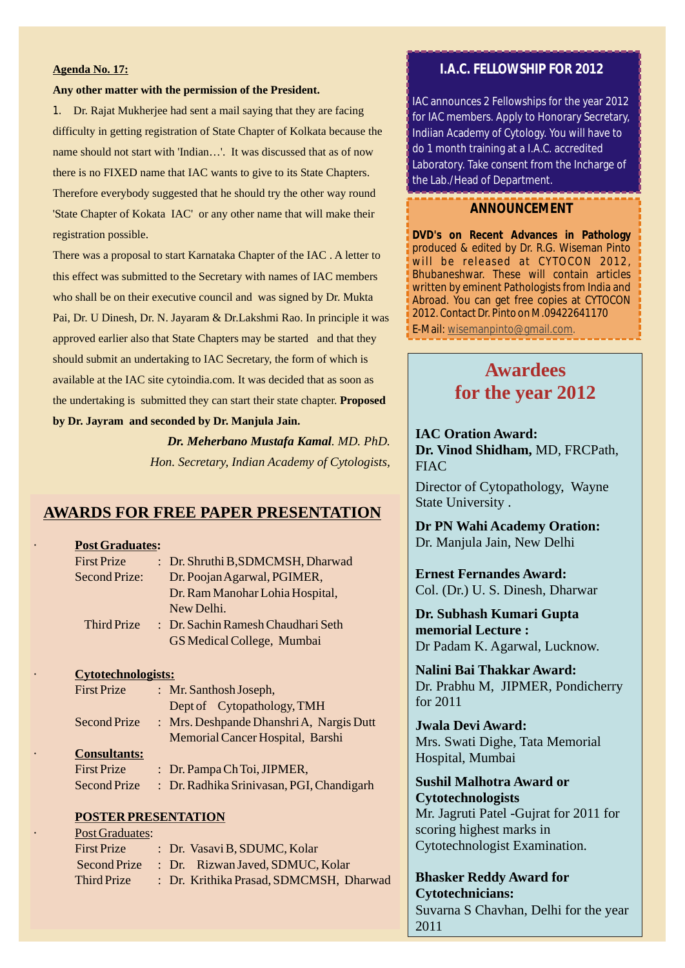#### **Agenda No. 17:**

#### **Any other matter with the permission of the President.**

1. Dr. Rajat Mukherjee had sent a mail saying that they are facing difficulty in getting registration of State Chapter of Kolkata because the name should not start with 'Indian…'. It was discussed that as of now there is no FIXED name that IAC wants to give to its State Chapters. Therefore everybody suggested that he should try the other way round 'State Chapter of Kokata IAC' or any other name that will make their registration possible.

There was a proposal to start Karnataka Chapter of the IAC . A letter to this effect was submitted to the Secretary with names of IAC members who shall be on their executive council and was signed by Dr. Mukta Pai, Dr. U Dinesh, Dr. N. Jayaram & Dr.Lakshmi Rao. In principle it was approved earlier also that State Chapters may be started and that they should submit an undertaking to IAC Secretary, the form of which is available at the IAC site cytoindia.com. It was decided that as soon as the undertaking is submitted they can start their state chapter. **Proposed by Dr. Jayram and seconded by Dr. Manjula Jain.**

> *Dr. Meherbano Mustafa Kamal. MD. PhD. Hon. Secretary, Indian Academy of Cytologists,*

#### **AWARDS FOR FREE PAPER PRESENTATION**

#### · **Post Graduates:**

| <b>First Prize</b>   | : Dr. Shruthi B, SDMCMSH, Dharwad  |
|----------------------|------------------------------------|
| <b>Second Prize:</b> | Dr. Poojan Agarwal, PGIMER,        |
|                      | Dr. Ram Manohar Lohia Hospital,    |
|                      | New Delhi.                         |
| Third Prize          | : Dr. Sachin Ramesh Chaudhari Seth |
|                      | GS Medical College, Mumbai         |

#### · **Cytotechnologists:**

|           | <b>First Prize</b>  | : Mr. Santhosh Joseph,                   |
|-----------|---------------------|------------------------------------------|
|           |                     | Dept of Cytopathology, TMH               |
|           | Second Prize        | : Mrs. Deshpande Dhanshri A, Nargis Dutt |
|           |                     | Memorial Cancer Hospital, Barshi         |
| $\bullet$ | <b>Consultants:</b> |                                          |
|           | <b>First Prize</b>  | : Dr. Pampa Ch Toi, JIPMER,              |

Second Prize : Dr. Radhika Srinivasan, PGI, Chandigarh

#### **POSTER PRESENTATION**

| $\bullet$ | <b>Post Graduates:</b> |  |                                         |
|-----------|------------------------|--|-----------------------------------------|
|           | <b>First Prize</b>     |  | : Dr. Vasavi B, SDUMC, Kolar            |
|           | Second Prize           |  | : Dr. Rizwan Javed, SDMUC, Kolar        |
|           | Third Prize            |  | : Dr. Krithika Prasad, SDMCMSH, Dharwad |

### **I.A.C. FELLOWSHIP FOR 2012**

IAC announces 2 Fellowships for the year 2012 for IAC members. Apply to Honorary Secretary, Indiian Academy of Cytology. You will have to do 1 month training at a I.A.C. accredited Laboratory. Take consent from the Incharge of the Lab./Head of Department.

#### **ANNOUNCEMENT**

**DVD's on Recent Advances in Pathology** produced & edited by Dr. R.G. Wiseman Pinto will be released at CYTOCON 2012, Bhubaneshwar. These will contain articles written by eminent Pathologists from India and Abroad. You can get free copies at CYTOCON 2012. Contact Dr. Pinto on M.09422641170 E-Mail: wisemanpinto@gmail.com.

> **Awardees for the year 2012**

**IAC Oration Award: Dr. Vinod Shidham,** MD, FRCPath, **FIAC** 

Director of Cytopathology, Wayne State University .

**Dr PN Wahi Academy Oration:** Dr. Manjula Jain, New Delhi

**Ernest Fernandes Award:** Col. (Dr.) U. S. Dinesh, Dharwar

**Dr. Subhash Kumari Gupta memorial Lecture :** Dr Padam K. Agarwal, Lucknow.

**Nalini Bai Thakkar Award:**  Dr. Prabhu M, JIPMER, Pondicherry for 2011

**Jwala Devi Award:**  Mrs. Swati Dighe, Tata Memorial Hospital, Mumbai

**Sushil Malhotra Award or Cytotechnologists** Mr. Jagruti Patel -Gujrat for 2011 for scoring highest marks in Cytotechnologist Examination.

**Bhasker Reddy Award for Cytotechnicians:**  Suvarna S Chavhan, Delhi for the year 2011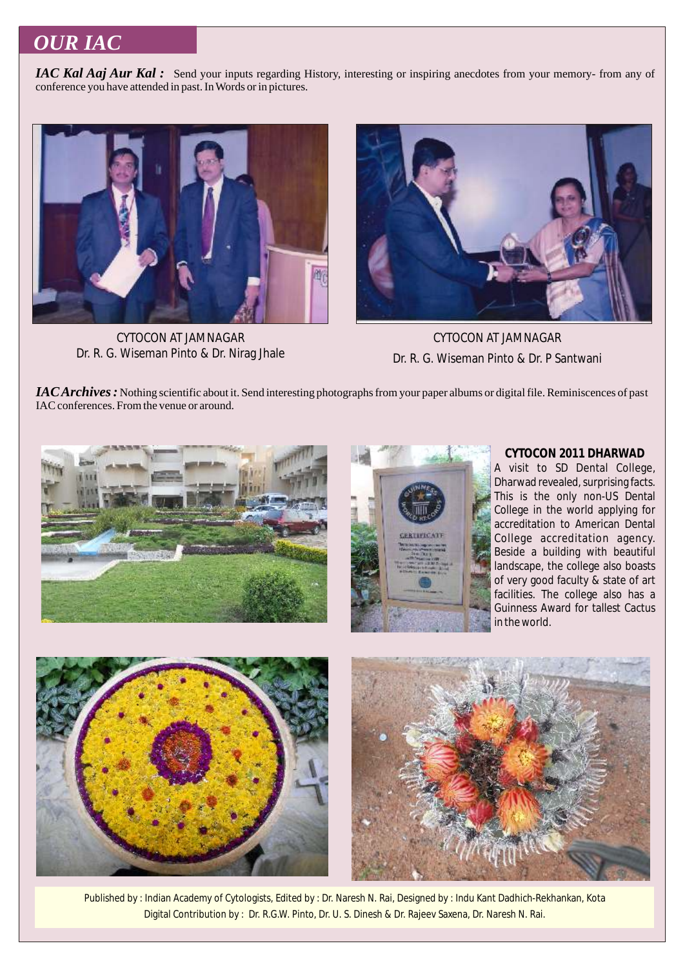## *OUR IAC*

*IAC Kal Aaj Aur Kal*: Send your inputs regarding History, interesting or inspiring anecdotes from your memory- from any of conference you have attended in past. In Words or in pictures.



CYTOCON AT JAMNAGAR Dr. R. G. Wiseman Pinto & Dr. Nirag Jhale



CYTOCON AT JAMNAGAR Dr. R. G. Wiseman Pinto & Dr. P Santwani

*IAC Archives :* Nothing scientific about it. Send interesting photographs from your paper albums or digital file. Reminiscences of past IAC conferences. From the venue or around.





**CYTOCON 2011 DHARWAD** A visit to SD Dental College, Dharwad revealed, surprising facts. This is the only non-US Dental College in the world applying for accreditation to American Dental College accreditation agency. Beside a building with beautiful landscape, the college also boasts of very good faculty & state of art facilities. The college also has a Guinness Award for tallest Cactus



Published by : Indian Academy of Cytologists, Edited by : Dr. Naresh N. Rai, Designed by : Indu Kant Dadhich-Rekhankan, Kota Digital Contribution by : Dr. R.G.W. Pinto, Dr. U. S. Dinesh & Dr. Rajeev Saxena, Dr. Naresh N. Rai.